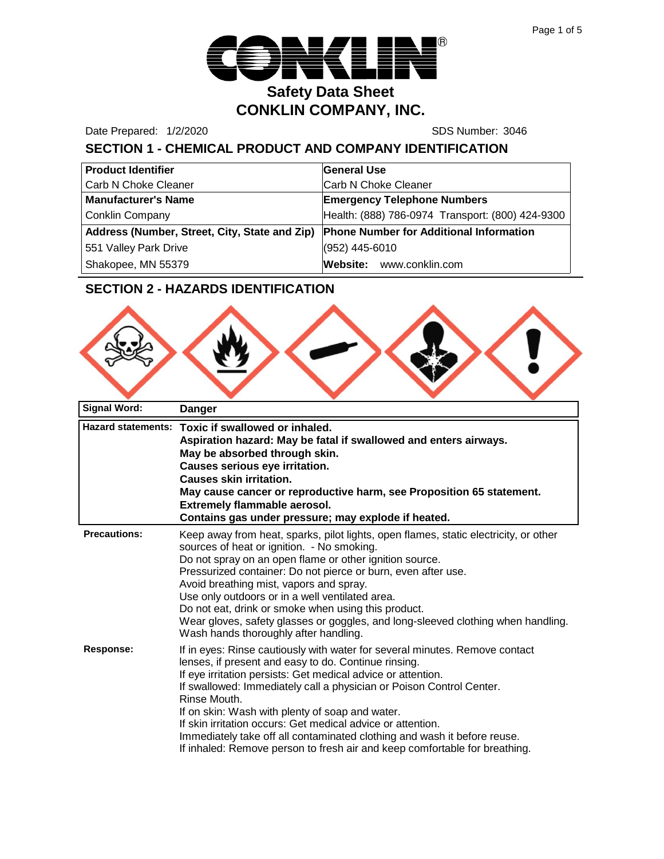

Date Prepared: 1/2/2020 SDS Number: 3046

# **SECTION 1 - CHEMICAL PRODUCT AND COMPANY IDENTIFICATION**

| <b>Product Identifier</b>                     | <b>General Use</b>                               |
|-----------------------------------------------|--------------------------------------------------|
| Carb N Choke Cleaner                          | Carb N Choke Cleaner                             |
| <b>Manufacturer's Name</b>                    | <b>Emergency Telephone Numbers</b>               |
| <b>Conklin Company</b>                        | Health: (888) 786-0974 Transport: (800) 424-9300 |
| Address (Number, Street, City, State and Zip) | <b>Phone Number for Additional Information</b>   |
| 551 Valley Park Drive                         | (952) 445-6010                                   |
| Shakopee, MN 55379                            | Website: www.conklin.com                         |

# **SECTION 2 - HAZARDS IDENTIFICATION**

| $ -$<br>----- |  |  |
|---------------|--|--|

| <b>Signal Word:</b> | <b>Danger</b>                                                                                                                                                                                                                                                                                                                                                                                                                                                                                                                                                           |
|---------------------|-------------------------------------------------------------------------------------------------------------------------------------------------------------------------------------------------------------------------------------------------------------------------------------------------------------------------------------------------------------------------------------------------------------------------------------------------------------------------------------------------------------------------------------------------------------------------|
|                     | Hazard statements: Toxic if swallowed or inhaled.<br>Aspiration hazard: May be fatal if swallowed and enters airways.<br>May be absorbed through skin.<br>Causes serious eye irritation.<br><b>Causes skin irritation.</b><br>May cause cancer or reproductive harm, see Proposition 65 statement.<br><b>Extremely flammable aerosol.</b><br>Contains gas under pressure; may explode if heated.                                                                                                                                                                        |
| <b>Precautions:</b> | Keep away from heat, sparks, pilot lights, open flames, static electricity, or other<br>sources of heat or ignition. - No smoking.<br>Do not spray on an open flame or other ignition source.<br>Pressurized container: Do not pierce or burn, even after use.<br>Avoid breathing mist, vapors and spray.<br>Use only outdoors or in a well ventilated area.<br>Do not eat, drink or smoke when using this product.<br>Wear gloves, safety glasses or goggles, and long-sleeved clothing when handling.<br>Wash hands thoroughly after handling.                        |
| Response:           | If in eyes: Rinse cautiously with water for several minutes. Remove contact<br>lenses, if present and easy to do. Continue rinsing.<br>If eye irritation persists: Get medical advice or attention.<br>If swallowed: Immediately call a physician or Poison Control Center.<br>Rinse Mouth.<br>If on skin: Wash with plenty of soap and water.<br>If skin irritation occurs: Get medical advice or attention.<br>Immediately take off all contaminated clothing and wash it before reuse.<br>If inhaled: Remove person to fresh air and keep comfortable for breathing. |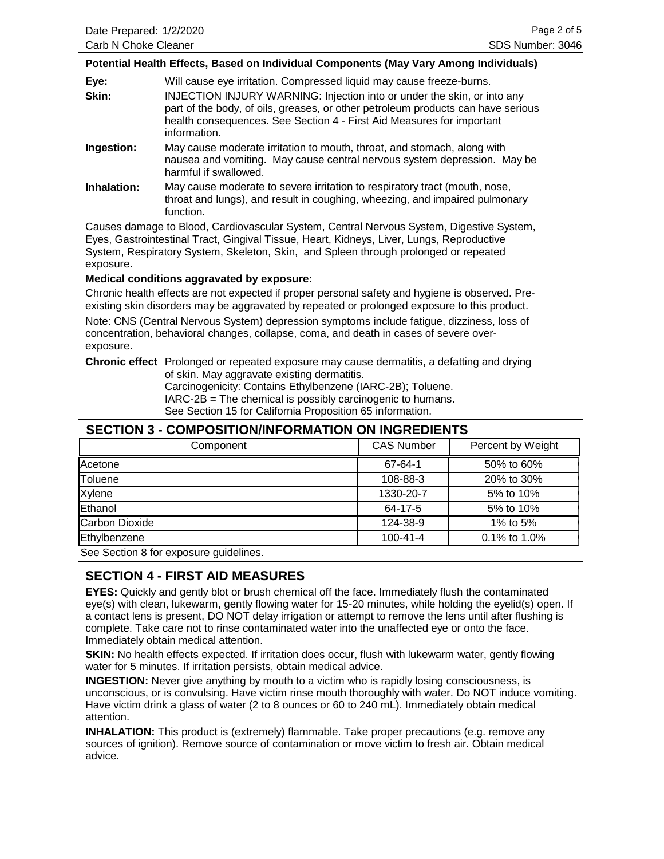#### **Potential Health Effects, Based on Individual Components (May Vary Among Individuals)**

| Eye:       | Will cause eye irritation. Compressed liquid may cause freeze-burns.                                                                                                                                                                                 |
|------------|------------------------------------------------------------------------------------------------------------------------------------------------------------------------------------------------------------------------------------------------------|
| Skin:      | INJECTION INJURY WARNING: Injection into or under the skin, or into any<br>part of the body, of oils, greases, or other petroleum products can have serious<br>health consequences. See Section 4 - First Aid Measures for important<br>information. |
| Ingestion: | May cause moderate irritation to mouth, throat, and stomach, along with<br>nausea and vomiting. May cause central nervous system depression. May be<br>harmful if swallowed.                                                                         |

**Inhalation:** May cause moderate to severe irritation to respiratory tract (mouth, nose, throat and lungs), and result in coughing, wheezing, and impaired pulmonary function.

Causes damage to Blood, Cardiovascular System, Central Nervous System, Digestive System, Eyes, Gastrointestinal Tract, Gingival Tissue, Heart, Kidneys, Liver, Lungs, Reproductive System, Respiratory System, Skeleton, Skin, and Spleen through prolonged or repeated exposure.

#### **Medical conditions aggravated by exposure:**

Chronic health effects are not expected if proper personal safety and hygiene is observed. Preexisting skin disorders may be aggravated by repeated or prolonged exposure to this product.

Note: CNS (Central Nervous System) depression symptoms include fatigue, dizziness, loss of concentration, behavioral changes, collapse, coma, and death in cases of severe overexposure.

**Chronic effect** Prolonged or repeated exposure may cause dermatitis, a defatting and drying of skin. May aggravate existing dermatitis.

Carcinogenicity: Contains Ethylbenzene (IARC-2B); Toluene.

IARC-2B = The chemical is possibly carcinogenic to humans.

See Section 15 for California Proposition 65 information.

#### **SECTION 3 - COMPOSITION/INFORMATION ON INGREDIENTS**

| <b>CAS Number</b> | Percent by Weight |
|-------------------|-------------------|
| 67-64-1           | 50% to 60%        |
| 108-88-3          | 20% to 30%        |
| 1330-20-7         | 5% to 10%         |
| 64-17-5           | 5% to 10%         |
| 124-38-9          | 1% to 5%          |
| 100-41-4          | 0.1% to 1.0%      |
|                   |                   |

See Section 8 for exposure guidelines.

## **SECTION 4 - FIRST AID MEASURES**

**EYES:** Quickly and gently blot or brush chemical off the face. Immediately flush the contaminated eye(s) with clean, lukewarm, gently flowing water for 15-20 minutes, while holding the eyelid(s) open. If a contact lens is present, DO NOT delay irrigation or attempt to remove the lens until after flushing is complete. Take care not to rinse contaminated water into the unaffected eye or onto the face. Immediately obtain medical attention.

**SKIN:** No health effects expected. If irritation does occur, flush with lukewarm water, gently flowing water for 5 minutes. If irritation persists, obtain medical advice.

**INGESTION:** Never give anything by mouth to a victim who is rapidly losing consciousness, is unconscious, or is convulsing. Have victim rinse mouth thoroughly with water. Do NOT induce vomiting. Have victim drink a glass of water (2 to 8 ounces or 60 to 240 mL). Immediately obtain medical attention.

**INHALATION:** This product is (extremely) flammable. Take proper precautions (e.g. remove any sources of ignition). Remove source of contamination or move victim to fresh air. Obtain medical advice.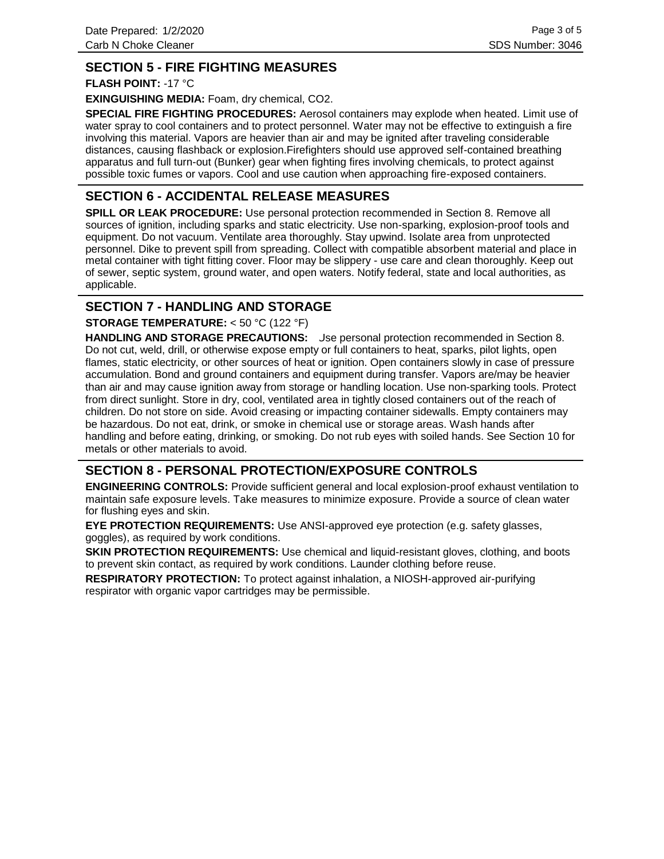# **SECTION 5 - FIRE FIGHTING MEASURES**

**FLASH POINT:** -17 °C

#### **EXINGUISHING MEDIA:** Foam, dry chemical, CO2.

**SPECIAL FIRE FIGHTING PROCEDURES:** Aerosol containers may explode when heated. Limit use of water spray to cool containers and to protect personnel. Water may not be effective to extinguish a fire involving this material. Vapors are heavier than air and may be ignited after traveling considerable distances, causing flashback or explosion.Firefighters should use approved self-contained breathing apparatus and full turn-out (Bunker) gear when fighting fires involving chemicals, to protect against possible toxic fumes or vapors. Cool and use caution when approaching fire-exposed containers.

# **SECTION 6 - ACCIDENTAL RELEASE MEASURES**

**SPILL OR LEAK PROCEDURE:** Use personal protection recommended in Section 8. Remove all sources of ignition, including sparks and static electricity. Use non-sparking, explosion-proof tools and equipment. Do not vacuum. Ventilate area thoroughly. Stay upwind. Isolate area from unprotected personnel. Dike to prevent spill from spreading. Collect with compatible absorbent material and place in metal container with tight fitting cover. Floor may be slippery - use care and clean thoroughly. Keep out of sewer, septic system, ground water, and open waters. Notify federal, state and local authorities, as applicable.

#### **SECTION 7 - HANDLING AND STORAGE**

**STORAGE TEMPERATURE:** < 50 °C (122 °F)

HANDLING AND STORAGE PRECAUTIONS: Use personal protection recommended in Section 8. Do not cut, weld, drill, or otherwise expose empty or full containers to heat, sparks, pilot lights, open flames, static electricity, or other sources of heat or ignition. Open containers slowly in case of pressure accumulation. Bond and ground containers and equipment during transfer. Vapors are/may be heavier than air and may cause ignition away from storage or handling location. Use non-sparking tools. Protect from direct sunlight. Store in dry, cool, ventilated area in tightly closed containers out of the reach of children. Do not store on side. Avoid creasing or impacting container sidewalls. Empty containers may be hazardous. Do not eat, drink, or smoke in chemical use or storage areas. Wash hands after handling and before eating, drinking, or smoking. Do not rub eyes with soiled hands. See Section 10 for metals or other materials to avoid.

## **SECTION 8 - PERSONAL PROTECTION/EXPOSURE CONTROLS**

**ENGINEERING CONTROLS:** Provide sufficient general and local explosion-proof exhaust ventilation to maintain safe exposure levels. Take measures to minimize exposure. Provide a source of clean water for flushing eyes and skin.

**EYE PROTECTION REQUIREMENTS:** Use ANSI-approved eye protection (e.g. safety glasses, goggles), as required by work conditions.

**SKIN PROTECTION REQUIREMENTS:** Use chemical and liquid-resistant gloves, clothing, and boots to prevent skin contact, as required by work conditions. Launder clothing before reuse.

**RESPIRATORY PROTECTION:** To protect against inhalation, a NIOSH-approved air-purifying respirator with organic vapor cartridges may be permissible.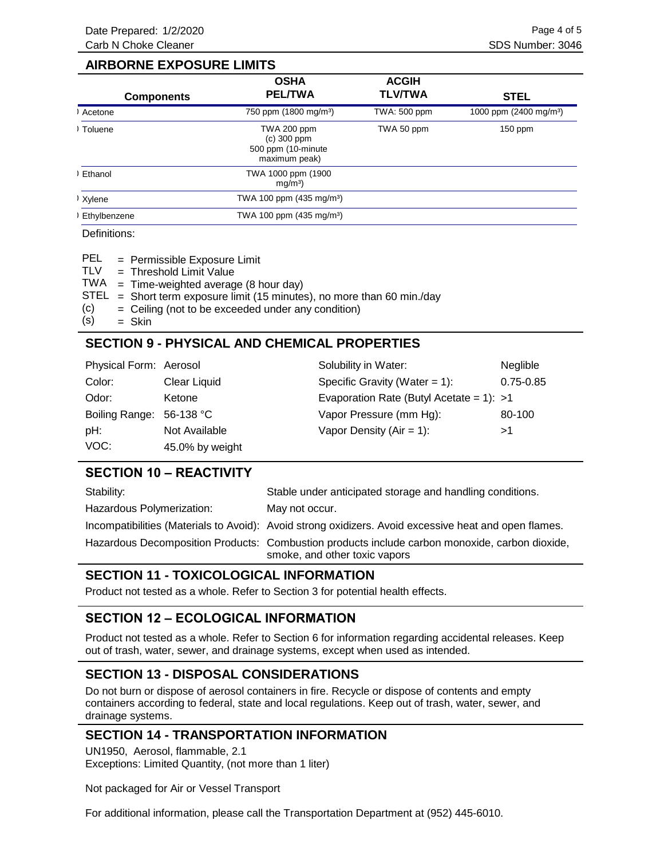## **AIRBORNE EXPOSURE LIMITS**

| <b>OSHA</b><br><b>PEL/TWA</b>                                        | <b>ACGIH</b><br><b>TLV/TWA</b> | <b>STEL</b>                        |
|----------------------------------------------------------------------|--------------------------------|------------------------------------|
| 750 ppm (1800 mg/m <sup>3</sup> )                                    | TWA: 500 ppm                   | 1000 ppm (2400 mg/m <sup>3</sup> ) |
| TWA 200 ppm<br>$(c)$ 300 ppm<br>500 ppm (10-minute)<br>maximum peak) | TWA 50 ppm                     | $150$ ppm                          |
| TWA 1000 ppm (1900<br>mg/m <sup>3</sup>                              |                                |                                    |
| TWA 100 ppm (435 mg/m <sup>3</sup> )                                 |                                |                                    |
| TWA 100 ppm (435 mg/m <sup>3</sup> )                                 |                                |                                    |
|                                                                      |                                |                                    |

Definitions:

| <b>PEL</b> | = Permissible Exposure Limit |
|------------|------------------------------|
| $-1$       |                              |

- Threshold Limit Value = TLV
- TWA = Time-weighted average (8 hour day)
- STEL = Short term exposure limit (15 minutes), no more than 60 min./day
- Ceiling (not to be exceeded under any condition) =  $(c)$
- Skin = (s)

## **SECTION 9 - PHYSICAL AND CHEMICAL PROPERTIES**

| Physical Form: Aerosol   |                 | Solubility in Water:                       | Neglible      |
|--------------------------|-----------------|--------------------------------------------|---------------|
| Color:                   | Clear Liquid    | Specific Gravity (Water = $1$ ):           | $0.75 - 0.85$ |
| Odor:                    | Ketone          | Evaporation Rate (Butyl Acetate = 1): $>1$ |               |
| Boiling Range: 56-138 °C |                 | Vapor Pressure (mm Hg):                    | 80-100        |
| pH:                      | Not Available   | Vapor Density ( $Air = 1$ ):               | >1            |
| VOC:                     | 45.0% by weight |                                            |               |

## **SECTION 10 – REACTIVITY**

| Stability:                | Stable under anticipated storage and handling conditions.                                                                       |
|---------------------------|---------------------------------------------------------------------------------------------------------------------------------|
| Hazardous Polymerization: | May not occur.                                                                                                                  |
|                           | Incompatibilities (Materials to Avoid): Avoid strong oxidizers. Avoid excessive heat and open flames.                           |
|                           | Hazardous Decomposition Products: Combustion products include carbon monoxide, carbon dioxide,<br>smoke, and other toxic vapors |

## **SECTION 11 - TOXICOLOGICAL INFORMATION**

Product not tested as a whole. Refer to Section 3 for potential health effects.

## **SECTION 12 – ECOLOGICAL INFORMATION**

Product not tested as a whole. Refer to Section 6 for information regarding accidental releases. Keep out of trash, water, sewer, and drainage systems, except when used as intended.

#### **SECTION 13 - DISPOSAL CONSIDERATIONS**

Do not burn or dispose of aerosol containers in fire. Recycle or dispose of contents and empty containers according to federal, state and local regulations. Keep out of trash, water, sewer, and drainage systems.

## **SECTION 14 - TRANSPORTATION INFORMATION**

UN1950, Aerosol, flammable, 2.1 Exceptions: Limited Quantity, (not more than 1 liter)

Not packaged for Air or Vessel Transport

For additional information, please call the Transportation Department at (952) 445-6010.